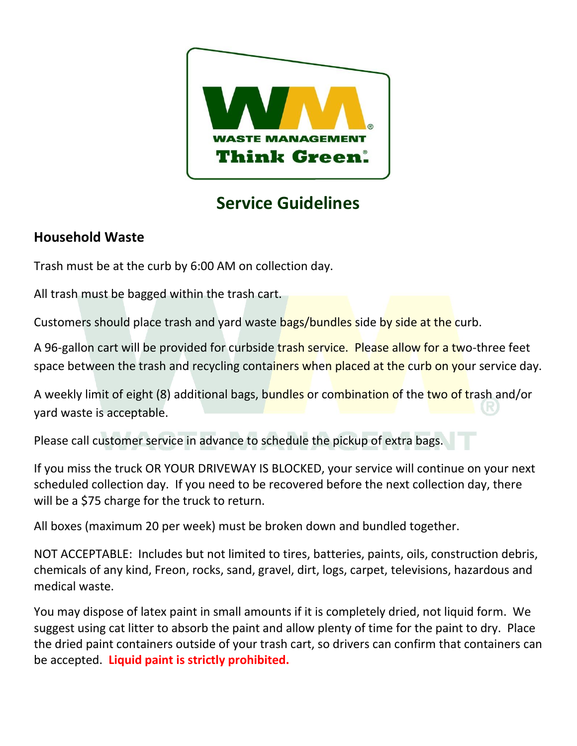

# **Service Guidelines**

## **Household Waste**

Trash must be at the curb by 6:00 AM on collection day.

All trash must be bagged within the trash cart.

Customers should place trash and yard waste bags/bundles side by side at the curb.

A 96-gallon cart will be provided for curbside trash service. Please allow for a two-three feet space between the trash and recycling containers when placed at the curb on your service day.

A weekly limit of eight (8) additional bags, bundles or combination of the two of trash and/or yard waste is acceptable.

Please call customer service in advance to schedule the pickup of extra bags.

If you miss the truck OR YOUR DRIVEWAY IS BLOCKED, your service will continue on your next scheduled collection day. If you need to be recovered before the next collection day, there will be a \$75 charge for the truck to return.

All boxes (maximum 20 per week) must be broken down and bundled together.

NOT ACCEPTABLE: Includes but not limited to tires, batteries, paints, oils, construction debris, chemicals of any kind, Freon, rocks, sand, gravel, dirt, logs, carpet, televisions, hazardous and medical waste.

You may dispose of latex paint in small amounts if it is completely dried, not liquid form. We suggest using cat litter to absorb the paint and allow plenty of time for the paint to dry. Place the dried paint containers outside of your trash cart, so drivers can confirm that containers can be accepted. **Liquid paint is strictly prohibited.**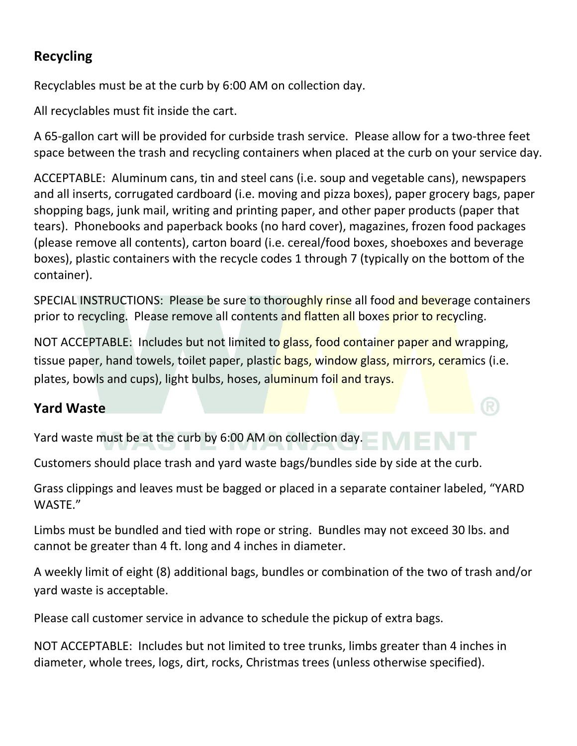# **Recycling**

Recyclables must be at the curb by 6:00 AM on collection day.

All recyclables must fit inside the cart.

A 65-gallon cart will be provided for curbside trash service. Please allow for a two-three feet space between the trash and recycling containers when placed at the curb on your service day.

ACCEPTABLE: Aluminum cans, tin and steel cans (i.e. soup and vegetable cans), newspapers and all inserts, corrugated cardboard (i.e. moving and pizza boxes), paper grocery bags, paper shopping bags, junk mail, writing and printing paper, and other paper products (paper that tears). Phonebooks and paperback books (no hard cover), magazines, frozen food packages (please remove all contents), carton board (i.e. cereal/food boxes, shoeboxes and beverage boxes), plastic containers with the recycle codes 1 through 7 (typically on the bottom of the container).

SPECIAL INSTRUCTIONS: Please be sure to thoroughly rinse all food and beverage containers prior to recycling. Please remove all contents and flatten all boxes prior to recycling.

NOT ACCEPTABLE: Includes but not limited to glass, food container paper and wrapping, tissue paper, hand towels, toilet paper, plastic bags, window glass, mirrors, ceramics (i.e. plates, bowls and cups), light bulbs, hoses, aluminum foil and trays.

#### **Yard Waste**

Yard waste must be at the curb by 6:00 AM on collection day.

Customers should place trash and yard waste bags/bundles side by side at the curb.

Grass clippings and leaves must be bagged or placed in a separate container labeled, "YARD WASTE."

Limbs must be bundled and tied with rope or string. Bundles may not exceed 30 lbs. and cannot be greater than 4 ft. long and 4 inches in diameter.

A weekly limit of eight (8) additional bags, bundles or combination of the two of trash and/or yard waste is acceptable.

Please call customer service in advance to schedule the pickup of extra bags.

NOT ACCEPTABLE: Includes but not limited to tree trunks, limbs greater than 4 inches in diameter, whole trees, logs, dirt, rocks, Christmas trees (unless otherwise specified).